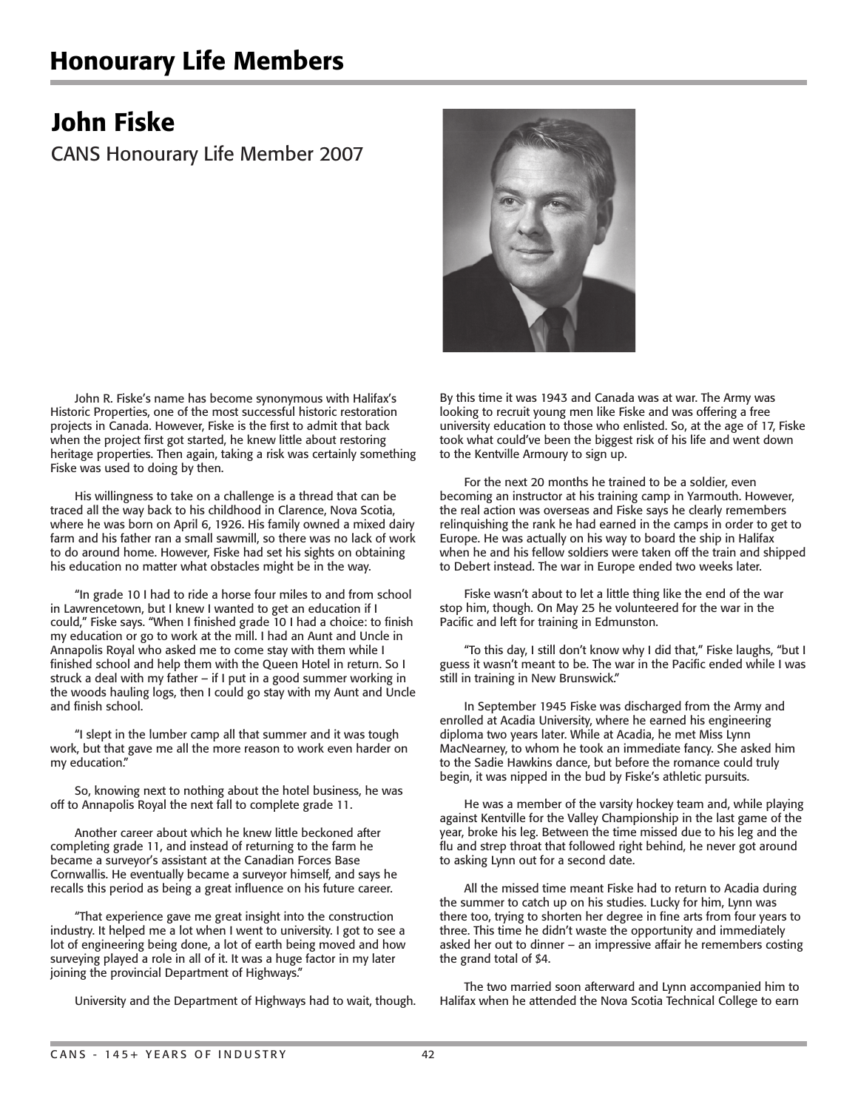## Honourary Life Members

## John Fiske

CANS Honourary Life Member 2007

 John R. Fiske's name has become synonymous with Halifax's Historic Properties, one of the most successful historic restoration projects in Canada. However, Fiske is the first to admit that back when the project first got started, he knew little about restoring heritage properties. Then again, taking a risk was certainly something Fiske was used to doing by then.

 His willingness to take on a challenge is a thread that can be traced all the way back to his childhood in Clarence, Nova Scotia, where he was born on April 6, 1926. His family owned a mixed dairy farm and his father ran a small sawmill, so there was no lack of work to do around home. However, Fiske had set his sights on obtaining his education no matter what obstacles might be in the way.

 "In grade 10 I had to ride a horse four miles to and from school in Lawrencetown, but I knew I wanted to get an education if I could," Fiske says. "When I finished grade 10 I had a choice: to finish my education or go to work at the mill. I had an Aunt and Uncle in Annapolis Royal who asked me to come stay with them while I finished school and help them with the Queen Hotel in return. So I struck a deal with my father – if I put in a good summer working in the woods hauling logs, then I could go stay with my Aunt and Uncle and finish school.

 "I slept in the lumber camp all that summer and it was tough work, but that gave me all the more reason to work even harder on my education."

 So, knowing next to nothing about the hotel business, he was off to Annapolis Royal the next fall to complete grade 11.

 Another career about which he knew little beckoned after completing grade 11, and instead of returning to the farm he became a surveyor's assistant at the Canadian Forces Base Cornwallis. He eventually became a surveyor himself, and says he recalls this period as being a great influence on his future career.

 "That experience gave me great insight into the construction industry. It helped me a lot when I went to university. I got to see a lot of engineering being done, a lot of earth being moved and how surveying played a role in all of it. It was a huge factor in my later joining the provincial Department of Highways."

University and the Department of Highways had to wait, though.



By this time it was 1943 and Canada was at war. The Army was looking to recruit young men like Fiske and was offering a free university education to those who enlisted. So, at the age of 17, Fiske took what could've been the biggest risk of his life and went down to the Kentville Armoury to sign up.

 For the next 20 months he trained to be a soldier, even becoming an instructor at his training camp in Yarmouth. However, the real action was overseas and Fiske says he clearly remembers relinquishing the rank he had earned in the camps in order to get to Europe. He was actually on his way to board the ship in Halifax when he and his fellow soldiers were taken off the train and shipped to Debert instead. The war in Europe ended two weeks later.

 Fiske wasn't about to let a little thing like the end of the war stop him, though. On May 25 he volunteered for the war in the Pacific and left for training in Edmunston.

 "To this day, I still don't know why I did that," Fiske laughs, "but I guess it wasn't meant to be. The war in the Pacific ended while I was still in training in New Brunswick."

 In September 1945 Fiske was discharged from the Army and enrolled at Acadia University, where he earned his engineering diploma two years later. While at Acadia, he met Miss Lynn MacNearney, to whom he took an immediate fancy. She asked him to the Sadie Hawkins dance, but before the romance could truly begin, it was nipped in the bud by Fiske's athletic pursuits.

 He was a member of the varsity hockey team and, while playing against Kentville for the Valley Championship in the last game of the year, broke his leg. Between the time missed due to his leg and the flu and strep throat that followed right behind, he never got around to asking Lynn out for a second date.

 All the missed time meant Fiske had to return to Acadia during the summer to catch up on his studies. Lucky for him, Lynn was there too, trying to shorten her degree in fine arts from four years to three. This time he didn't waste the opportunity and immediately asked her out to dinner – an impressive affair he remembers costing the grand total of \$4.

 The two married soon afterward and Lynn accompanied him to Halifax when he attended the Nova Scotia Technical College to earn